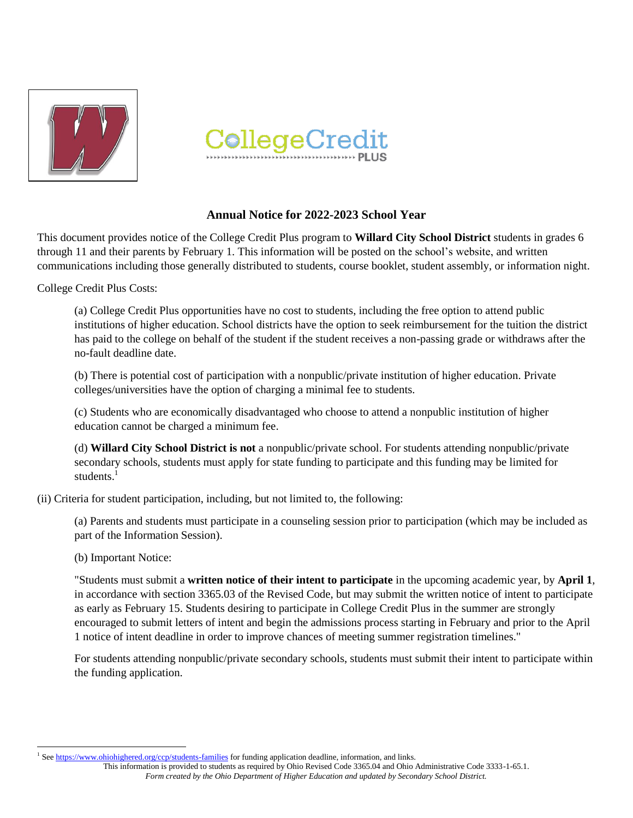



# **Annual Notice for 2022-2023 School Year**

This document provides notice of the College Credit Plus program to **Willard City School District** students in grades 6 through 11 and their parents by February 1. This information will be posted on the school's website, and written communications including those generally distributed to students, course booklet, student assembly, or information night.

College Credit Plus Costs:

(a) College Credit Plus opportunities have no cost to students, including the free option to attend public institutions of higher education. School districts have the option to seek reimbursement for the tuition the district has paid to the college on behalf of the student if the student receives a non-passing grade or withdraws after the no-fault deadline date.

(b) There is potential cost of participation with a nonpublic/private institution of higher education. Private colleges/universities have the option of charging a minimal fee to students.

(c) Students who are economically disadvantaged who choose to attend a nonpublic institution of higher education cannot be charged a minimum fee.

(d) **Willard City School District is not** a nonpublic/private school. For students attending nonpublic/private secondary schools, students must apply for state funding to participate and this funding may be limited for students.<sup>1</sup>

(ii) Criteria for student participation, including, but not limited to, the following:

(a) Parents and students must participate in a counseling session prior to participation (which may be included as part of the Information Session).

#### (b) Important Notice:

 $\overline{\phantom{a}}$ 

"Students must submit a **written notice of their intent to participate** in the upcoming academic year, by **April 1**, in accordance with section 3365.03 of the Revised Code, but may submit the written notice of intent to participate as early as February 15. Students desiring to participate in College Credit Plus in the summer are strongly encouraged to submit letters of intent and begin the admissions process starting in February and prior to the April 1 notice of intent deadline in order to improve chances of meeting summer registration timelines."

For students attending nonpublic/private secondary schools, students must submit their intent to participate within the funding application.

<sup>1</sup> Se[e https://www.ohiohighered.org/ccp/students-families](https://www.ohiohighered.org/ccp/students-families) for funding application deadline, information, and links.

This information is provided to students as required by Ohio Revised Code 3365.04 and Ohio Administrative Code 3333-1-65.1. *Form created by the Ohio Department of Higher Education and updated by Secondary School District.*